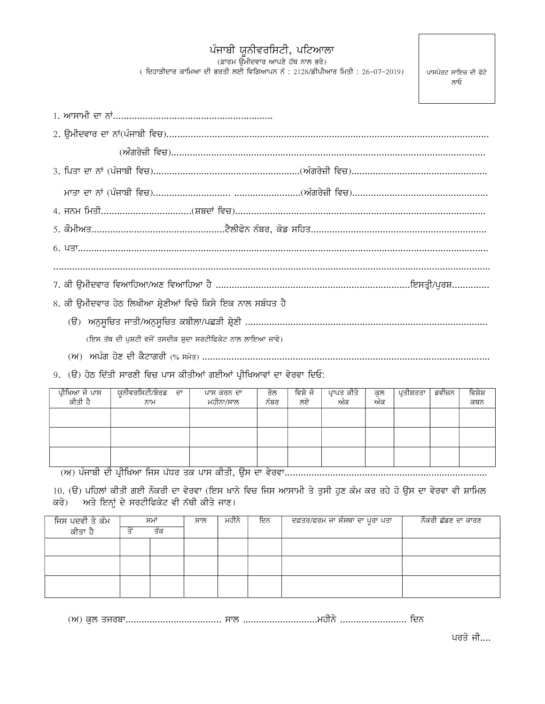## ਪੰਜਾਬੀ ਯੂਨੀਵਰਸਿਟੀ, ਪਟਿਆਲਾ<br>ਫ਼ਾਰਮ ਉਮੀਦਵਾਰ ਆਪਣੇ ਹੱਥ ਨਾਲ ਭਰੇ)

 $($  ਦਿਹਾੜੀਦਾਰ ਕਾਮਿਆ ਦੀ ਭਰਤੀ ਲਈ ਵਿਗਿਆਪਨ ਨੰ : 2128/ਡੀਪੀਆਰ ਮਿਤੀ : 26-07-2019)

ਪਾਸਪੋਰਟ ਸਾਇਜ਼ ਦੀ ਫੋਟੋ ਲਾਓ

| 8. ਕੀ ੳਮੀਦਵਾਰ ਹੇਠ ਲਿਖੀਆ ਸ਼੍ਰੇਣੀਆਂ ਵਿਚੋ ਕਿਸੇ ਇਕ ਨਾਲ ਸਬੰਧਤ ਹੈ |
|-------------------------------------------------------------|
|                                                             |
| (ਇਸ ਤੱਥ ਦੀ ਪਸ਼ਟੀ ਵਜੋਂ ਤਸਦੀਕ ਸ਼ਦਾ ਸਰਟੀਫਿਕੇਟ ਨਾਲ ਲਾਇਆ ਜਾਵੇ)   |
|                                                             |

9. (ੳ) ਹੇਠ ਦਿੱਤੀ ਸਾਰਣੀ ਵਿਚ ਪਾਸ ਕੀਤੀਆਂ ਗਈਆਂ ਪ੍ਰੀਖਿਆਵਾਂ ਦਾ ਵੇਰਵਾ ਦਿਓ:

| ਪ੍ਰੀਖਿਆ ਜੋ ਪਾਸ<br>ਕੀਤੀ ਹੈ                            | <sup>।</sup> ਯੂਨੀਵਰਸਿਟੀ/ਬੋਰਡ<br>ਦਾ<br>ਨਾਮ | ਪਾਸ ਕਰਨ ਦਾ<br>ਮਹੀਨਾ/ਸਾਲ  | ਰਲ<br>$\sim$<br>ਨੰਬਰ | ਵਿਸ਼ੇ ਜ<br>ਲਏ | ਪ੍ਰਾਪਤ ਕੀਤੇ<br>ਅੰਕ | ਕੁਲ<br>ਅੰਕ | ਪਤੀਸ਼ਤਤਾ | ਡਵੀਜ਼ਨ | ਵਿਸ਼ੇਸ਼<br>ਕਥਨ |
|------------------------------------------------------|-------------------------------------------|--------------------------|----------------------|---------------|--------------------|------------|----------|--------|----------------|
|                                                      |                                           |                          |                      |               |                    |            |          |        |                |
|                                                      |                                           |                          |                      |               |                    |            |          |        |                |
| $\overline{\phantom{a}}$<br>$\overline{\phantom{a}}$ | $\overline{\phantom{a}}$                  | $\overline{\phantom{a}}$ |                      |               |                    |            |          |        |                |

10. (ੳ) ਪਹਿਲਾਂ ਕੀਤੀ ਗਈ ਨੌਕਰੀ ਦਾ ਵੇਰਵਾ (ਇਸ ਖਾਨੇ ਵਿਚ ਜਿਸ ਆਸਾਮੀ ਤੇ ਤੁਸੀ ਹੁਣ ਕੰਮ ਕਰ ਰਹੇ ਹੋ ਉਸ ਦਾ ਵੇਰਵਾ ਵੀ ਸ਼ਾਮਿਲ ਕਰੋ) ਅਤੇ ਇਨ੍ਹਾਂ ਦੇ ਸਰਟੀਫਿਕੇਟ ਵੀ ਨੱਥੀ ਕੀਤੇ ਜਾਣ।

| ਜਿਸ ਪਦਵੀ ਤੇ ਕੰਮ | ਸਮਾਂ | ਸਾਲ | ਮਹੀਨੇ | ਦਿਨ | ਦਫ਼ਤਰ/ਫਰਮ ਜਾ ਸੰਸਥਾ ਦਾ ਪੂਰਾ ਪਤਾ | ਨੌਕਰੀ ਛੱਡਣ ਦਾ ਕਾਰਣ |
|-----------------|------|-----|-------|-----|--------------------------------|--------------------|
| ਕੀਤਾ ਹੈ         | ਤੱਕ  |     |       |     |                                |                    |
|                 |      |     |       |     |                                |                    |
|                 |      |     |       |     |                                |                    |
|                 |      |     |       |     |                                |                    |
|                 |      |     |       |     |                                |                    |
|                 |      |     |       |     |                                |                    |
|                 |      |     |       |     |                                |                    |

ਪਰਤੋ ਜੀ....